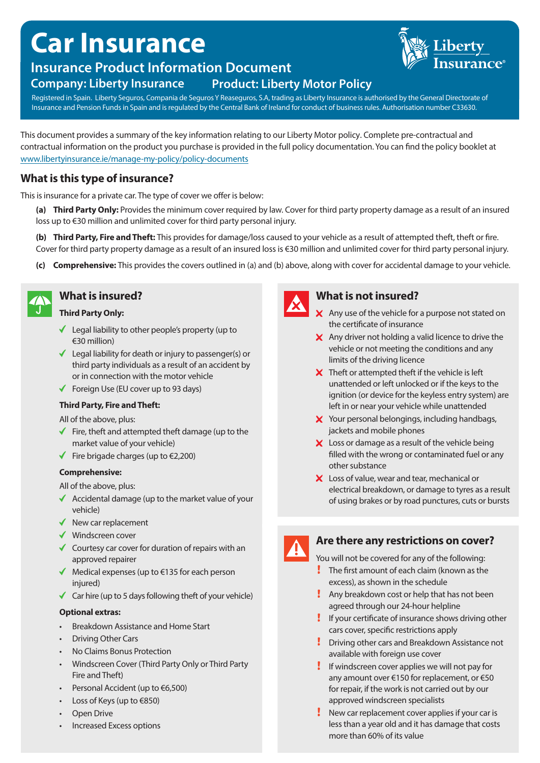# **Car Insurance**



# **Insurance Product Information Document**

## **Company: Liberty Insurance Product: Liberty Motor Policy**

Registered in Spain. Liberty Seguros, Compania de Seguros Y Reaseguros, S.A, trading as Liberty Insurance is authorised by the General Directorate of Insurance and Pension Funds in Spain and is regulated by the Central Bank of Ireland for conduct of business rules. Authorisation number C33630.

This document provides a summary of the key information relating to our Liberty Motor policy. Complete pre-contractual and contractual information on the product you purchase is provided in the full policy documentation. You can find the policy booklet at www.libertyinsurance.ie/manage-my-policy/policy-documents

## **What is this type of insurance?**

This is insurance for a private car. The type of cover we offer is below:

**(a) Third Party Only:** Provides the minimum cover required by law. Cover for third party property damage as a result of an insured loss up to €30 million and unlimited cover for third party personal injury.

**(b) Third Party, Fire and Theft:** This provides for damage/loss caused to your vehicle as a result of attempted theft, theft or fire. Cover for third party property damage as a result of an insured loss is €30 million and unlimited cover for third party personal injury.

**(c) Comprehensive:** This provides the covers outlined in (a) and (b) above, along with cover for accidental damage to your vehicle.



## **What is insured?**

#### **Third Party Only:**

- $\checkmark$  Legal liability to other people's property (up to €30 million)
- Legal liability for death or injury to passenger(s) or third party individuals as a result of an accident by or in connection with the motor vehicle
- Foreign Use (EU cover up to 93 days)

#### **Third Party, Fire and Theft:**

All of the above, plus:

- $\blacklozenge$  Fire, theft and attempted theft damage (up to the market value of your vehicle)
- $\blacklozenge$  Fire brigade charges (up to €2,200)

#### **Comprehensive:**

All of the above, plus:

- $\triangleleft$  Accidental damage (up to the market value of your vehicle)
- $\blacklozenge$  New car replacement
- Windscreen cover
- $\checkmark$  Courtesy car cover for duration of repairs with an approved repairer
- $\blacklozenge$  Medical expenses (up to  $\epsilon$ 135 for each person injured)
- $\checkmark$  Car hire (up to 5 days following theft of your vehicle)

#### **Optional extras:**

- Breakdown Assistance and Home Start
- Driving Other Cars
- No Claims Bonus Protection
- Windscreen Cover (Third Party Only or Third Party Fire and Theft)
- Personal Accident (up to €6,500)
- Loss of Keys (up to €850)
- **Open Drive**
- Increased Excess options



## **What is not insured?**

- $\boldsymbol{\times}$  Any use of the vehicle for a purpose not stated on the certificate of insurance
- $\boldsymbol{\times}$  Any driver not holding a valid licence to drive the vehicle or not meeting the conditions and any limits of the driving licence
- $\boldsymbol{\times}$  Theft or attempted theft if the vehicle is left unattended or left unlocked or if the keys to the ignition (or device for the keyless entry system) are left in or near your vehicle while unattended
- X Your personal belongings, including handbags, jackets and mobile phones
- $\boldsymbol{\times}$  Loss or damage as a result of the vehicle being filled with the wrong or contaminated fuel or any other substance
- X Loss of value, wear and tear, mechanical or electrical breakdown, or damage to tyres as a result of using brakes or by road punctures, cuts or bursts



## **Are there any restrictions on cover?**

You will not be covered for any of the following:

- **The first amount of each claim (known as the** excess), as shown in the schedule
- **Any breakdown cost or help that has not been** agreed through our 24-hour helpline
- If your certificate of insurance shows driving other cars cover, specific restrictions apply
- **Driving other cars and Breakdown Assistance not** available with foreign use cover
- If windscreen cover applies we will not pay for any amount over €150 for replacement, or €50 for repair, if the work is not carried out by our approved windscreen specialists
- New car replacement cover applies if your car is less than a year old and it has damage that costs more than 60% of its value